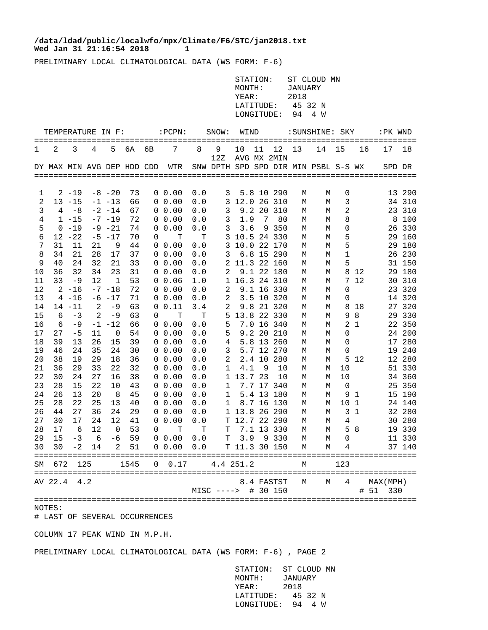## Wed Jan 31 21:16:54 2018 1 **/data/ldad/public/localwfo/mpx/Climate/F6/STC/jan2018.txt**

PRELIMINARY LOCAL CLIMATOLOGICAL DATA (WS FORM: F-6)

| MONTH:            | STATION: ST CLOUD MN<br>JANUARY |
|-------------------|---------------------------------|
| YEAR:             | 2018                            |
| LATITUDE: 45 32 N |                                 |
| LONGITUDE: 94 4 W |                                 |

| TEMPERATURE IN F: |                            |           |                |             | :PCPN:<br>SNOW:<br>=========== |                |                     | WIND<br>======================== |                                      |               | :SUNSHINE: SKY<br>=======: |                   |        |        |         | :PK WND |                 |                |
|-------------------|----------------------------|-----------|----------------|-------------|--------------------------------|----------------|---------------------|----------------------------------|--------------------------------------|---------------|----------------------------|-------------------|--------|--------|---------|---------|-----------------|----------------|
| 1                 | 2                          | 3         | 4              | 5           | бA                             | 6 <sub>B</sub> | 7                   | 8                                | 9<br>12Z                             | 10            | 11                         | 12<br>AVG MX 2MIN | 13     | 14     | 15      | 16      | 17              | 18             |
|                   | DY MAX MIN AVG DEP HDD CDD |           |                |             |                                |                | WTR                 |                                  | SNW DPTH SPD SPD DIR MIN PSBL S-S WX |               |                            |                   |        |        |         |         | SPD DR          |                |
|                   |                            |           |                |             |                                |                |                     |                                  |                                      |               |                            |                   |        |        |         |         |                 |                |
| 1                 |                            | $2 - 19$  |                | $-8 - 20$   | 73                             |                | $0\;\;0.00$         | 0.0                              | 3                                    |               |                            | 5.8 10 290        | М      | М      | 0       |         |                 | 13 290         |
| 2                 |                            | $13 - 15$ |                | $-1 -13$    | 66                             |                | $0\;\;0.00$         | 0.0                              | 3                                    | 12.0 26 310   |                            |                   | М      | М      | 3       |         |                 | 34 310         |
| 3                 | 4                          | $-8$      |                | $-2$ $-14$  | 67                             | 0              | 0.00                | 0.0                              | 3                                    |               | 9.2 20                     | 310               | М      | М      | 2       |         | 23              | 310            |
| 4                 |                            | $1 - 15$  |                | $-7 - 19$   | 72                             |                | $0\;\;0.00$         | 0.0                              | 3                                    | 1.9           | 7                          | 80                | М      | М      | 8       |         | 8               | 100            |
| 5                 |                            | $0 - 19$  |                | $-9 - 21$   | 74                             |                | $0\;\;0.00$         | 0.0                              | 3                                    | 3.6           |                            | 9 3 5 0           | М      | M      | 0       |         | 26              | 330            |
| 6                 |                            | $12 - 22$ |                | $-5 - 17$   | 70                             | 0              | т                   | т                                | 3                                    | 10.5 24 330   |                            |                   | М      | М      | 5       |         | 29              | 160            |
| 7                 | 31                         | 11        | 21             | 9           | 44                             |                | $0\;\;0.00$         | 0.0                              | 3                                    | 10.0 22 170   |                            |                   | М      | М      | 5       |         | 29              | 180            |
| 8                 | 34                         | 21        | 28             | 17          | 37                             |                | $0\;\;0.00$         | 0.0                              | 3                                    |               |                            | 6.8 15 290        | М      | М      | 1       |         | 26              | 230            |
| 9                 | 40                         | 24        | 32             | 21          | 33                             |                | $0\;\;0.00$         | 0.0                              | 2                                    | 11.3 22 160   |                            |                   | М      | М      | 5       |         |                 | 31 150         |
| 10                | 36                         | 32        | 34             | 23          | 31                             |                | $0\;\;0.00$         | 0.0                              | 2                                    |               |                            | 9.1 22 180        | М      | М      | 8       | 12      | 29              | 180            |
| 11                | 33                         | -9        | 12             | $\mathbf 1$ | 53                             |                | $0\;\;0.06$         | 1.0                              | 1                                    | 16.3 24 310   |                            |                   | М      | М      | 7       | 12      | 30              | 310            |
| 12                |                            | $2 - 16$  |                | $-7 - 18$   | 72                             |                | $0\;\;0.00$         | 0.0                              | 2                                    |               |                            | 9.1 16 330        | М      | М      | 0       |         | 23              | 320            |
| 13                | 4                          | -16       |                | $-6$ $-17$  | 71                             |                | $0\;\;0.00$         | 0.0                              | 2                                    |               |                            | 3.5 10 320        | М      | М      | 0       |         |                 | 14 320         |
| 14                |                            | $14 - 11$ | 2              | -9          | 63                             | 0              | 0.11                | 3.4                              | 2                                    |               |                            | 9.8 21 320        | М      | М      | 8       | 18      | 27              | 320            |
| 15                | 6                          | $-3$      | $\overline{2}$ | $-9$        | 63                             | 0              | T                   | T                                | 5                                    | 13.8 22 330   |                            |                   | М      | М      | 9       | 8       | 29              | 330            |
| 16                | 6                          | -9        |                | -1 -12      | 66                             |                | $0\;\;0.00$         | 0.0                              | 5                                    |               |                            | 7.0 16 340        | М      | М      | 2       | 1       |                 | 22 350         |
| 17                | 27                         | $-5$      | 11             | $\Omega$    | 54                             |                | $0\;\;0.00$         | 0.0                              | 5                                    |               |                            | 9.2 20 210        | М      | M      | 0       |         |                 | 24 200         |
| 18                | 39                         | 13        | 26             | 15          | 39                             | 0              | 0.00                | 0.0                              | 4                                    |               |                            | 5.8 13 260        | M      | М      | 0       |         | 17 <sup>7</sup> | 280            |
| 19                | 46                         | 24        | 35             | 24          | 30                             |                | $0\;\;0.00$         | 0.0                              | 3                                    |               |                            | 5.7 12 270        | М      | М      | 0       |         | 19              | 240            |
| 20                | 38                         | 19        | 29             | 18          | 36                             |                | $0\;\;0.00$         | 0.0                              | 2                                    |               |                            | 2.4 10 280        | М      | М      | 5       | -12     |                 | 12 280         |
| 21                | 36                         | 29        | 33             | 22          | 32                             |                | $0\;\;0.00$         | 0.0                              | 1                                    | 4.1           | 9                          | 10                | М      | М      | 10      |         | 51              | 330            |
| 22                | 30                         | 24        | 27             | 16          | 38                             |                | $0\;\;0.00$         | 0.0                              | $\mathbf{1}$                         | 13.7 23       |                            | 10                | М      | М      | 10      |         | 34              | 360            |
| 23                | 28                         | 15        | 22             | 10          | 43                             |                | $0\;\;0.00$         | 0.0                              | 1                                    |               |                            | 7.7 17 340        | М      | М      | 0       |         | 25              | 350            |
| 24                | 26                         | 13        | 20             | 8           | 45                             |                | $0\;\;0.00$         | 0.0                              | 1                                    |               | $5.4$ 13                   | 180               | М      | М      | 9       | - 1     |                 | 15 190         |
| 25                | 28<br>44                   | 22<br>27  | 25<br>36       | 13          | 40<br>29                       |                | $0\;\;0.00$         | 0.0                              | 1                                    | 13.8 26 290   |                            | 8.7 16 130        | М      | М      | 10<br>3 | 1<br>1  | 32              | 24 140<br>-280 |
| 26<br>27          | 30                         | 17        | 24             | 24<br>12    | 41                             |                | $0\;\;0.00$<br>0.00 | 0.0                              | 1<br>т                               | 12.7 22 290   |                            |                   | М      | М      | 4       |         |                 | 30 280         |
| 28                | 17                         | 6         | 12             | 0           | 53                             | 0<br>0         | т                   | 0.0<br>т                         | т                                    |               |                            | 7.1 13 330        | М      | М<br>М | 5       | 8       |                 | 19 330         |
| 29                | 15                         | $-3$      | 6              | -6          | 59                             |                | $0\;\;0.00$         | 0.0                              | T                                    | 3.9           | 9                          | 330               | М<br>М | M      | 0       |         |                 | 11 330         |
| 30                | 30                         | $-2$      | 14             | 2           | 51                             |                | $0\;\;0.00$         | 0.0                              |                                      | T 11.3 30 150 |                            |                   | М      | М      | 4       |         |                 | 37 140         |
| SΜ                | 672                        | 125       |                |             | 1545                           | 0              | 0.17                |                                  | 4.4 251.2                            |               |                            |                   | М      |        | 123     |         |                 |                |
|                   |                            |           |                |             |                                |                |                     |                                  |                                      |               |                            |                   |        |        |         |         |                 |                |
|                   | AV 22.4                    | 4.2       |                |             |                                |                |                     |                                  |                                      |               |                            | 8.4 FASTST        | M      | M      | 4       |         | MAX (MPH)       |                |
|                   |                            |           |                |             |                                |                |                     |                                  | $MISC$ ---->                         |               |                            | # 30 150          |        |        |         | #       | 51<br>330       |                |
|                   |                            |           |                |             |                                |                |                     |                                  |                                      |               |                            |                   |        |        |         |         |                 |                |

## NOTES:

# LAST OF SEVERAL OCCURRENCES

COLUMN 17 PEAK WIND IN M.P.H.

PRELIMINARY LOCAL CLIMATOLOGICAL DATA (WS FORM: F-6) , PAGE 2

 STATION: ST CLOUD MN MONTH: JANUARY YEAR: 2018 LATITUDE: 45 32 N LONGITUDE: 94 4 W